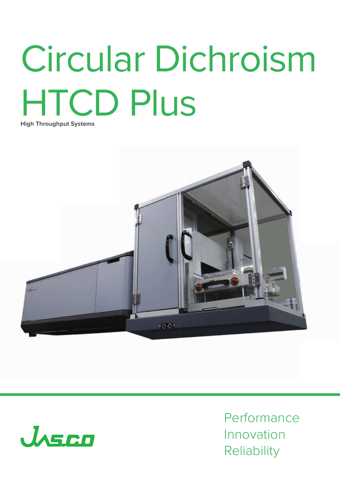# Circular Dichroism HTCD Plus **High Throughput Systems**





Performance Innovation **Reliability**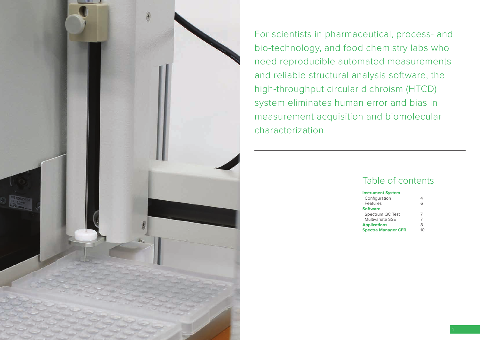

For scientists in pharmaceutical, process- and bio-technology, and food chemistry labs who need reproducible automated measurements and reliable structural analysis software, the high-throughput circular dichroism (HTCD) system eliminates human error and bias in measurement acquisition and biomolecular characterization.

### Table of contents

#### **Instrument System**

| Configuration              |   |
|----------------------------|---|
| Features                   | ൳ |
| <b>Software</b>            |   |
| Spectrum QC Test           |   |
| <b>Multivariate SSE</b>    |   |
| <b>Applications</b>        | 8 |
| <b>Spectra Manager CFR</b> |   |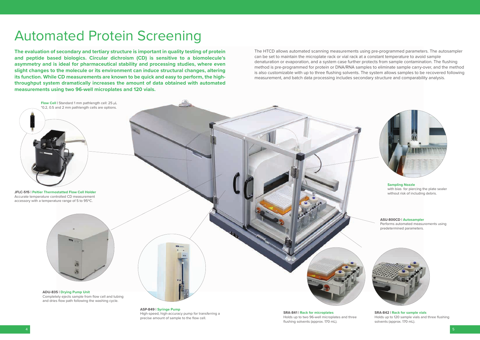### Automated Protein Screening

**The evaluation of secondary and tertiary structure is important in quality testing of protein and peptide based biologics. Circular dichroism (CD) is sensitive to a biomolecule's asymmetry and is ideal for pharmaceutical stability and processing studies, where even slight changes to the molecule or its environment can induce structural changes, altering its function. While CD measurements are known to be quick and easy to perform, the highthroughput system dramatically increases the amount of data obtained with automated measurements using two 96-well microplates and 120 vials.**

> **ASP-849 | Syringe Pump** High-speed, high-accuracy pump for transferring a precise amount of sample to the flow cell.

**SRA-841 | Rack for microplates** Holds up to two 96-well microplates and three flushing solvents (approx. 170 mL).



**ASU-800CD | Autosampler** Performs automated measurements using predetermined parameters.





**Sampling Nozzle** with bias for piercing the plate sealer without risk of including debris.

The HTCD allows automated scanning measurements using pre-programmed parameters. The autosampler can be set to maintain the microplate rack or vial rack at a constant temperature to avoid sample denaturation or evaporation, and a system case further protects from sample contamination. The flushing method is pre-programmed for protein or DNA/RNA samples to eliminate sample carry-over, and the method is also customizable with up to three flushing solvents. The system allows samples to be recovered following measurement, and batch data processing includes secondary structure and comparability analysis.

> **SRA-842 | Rack for sample vials** Holds up to 120 sample vials and three flushing solvents (approx. 170 mL).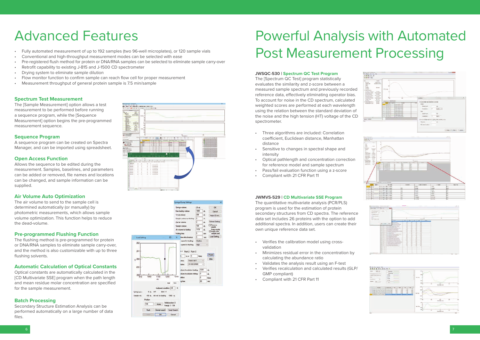### Advanced Features

#### **Spectrum Test Measurement**

The [Sample Measurement] option allows a test measurement to be performed before running a sequence program, while the [Sequence Measurement] option begins the pre-programmed measurement sequence.

#### **Sequence Program**

A sequence program can be created on Spectra Manager, and can be imported using spreadsheet.

#### **Open Access Function**

Allows the sequence to be edited during the measurement. Samples, baselines, and parameters can be added or removed, file names and locations can be changed, and sample information can be supplied.

#### **Air Volume Auto Optimization**

Secondary Structure Estimation Analysis can be performed automatically on a large number of data files.





The air volume to send to the sample cell is determined automatically (or manually) by photometric measurements, which allows sample volume optimization. This function helps to reduce the dead-volume.

#### **Pre-programmed Flushing Function**

The flushing method is pre-programmed for protein or DNA/RNA samples to eliminate sample carry-over, and the method is also customizable with up to three flushing solvents.

#### **Automatic Calculation of Optical Constants**

Optical constants are automatically calculated in the [CD Multivariate SSE] program when the path length and mean residue molar concentration are specified for the sample measurement.

#### **Batch Processing**

- Fully automated measurement of up to 192 samples (two 96-well microplates), or 120 sample vials
- Conventional and high-throughput measurement modes can be selected with ease
- Pre-registered flush method for protein or DNA/RNA samples can be selected to eliminate sample carry-over
- Retrofit capability to existing J-815 and J-1500 CD spectrometer
- Drying system to eliminate sample dilution
- Flow monitor function to confirm sample can reach flow cell for proper measurement
- Measurement throughput of general protein sample is 7.5 min/sample

- Verifies the calibration model using crossvalidation
- Minimizes residual error in the concentration by calculating the abundance ratio
- Validates the analysis result using an F-test
- Verifies recalculation and calculated results (GLP/ GMP compliant)
- Compliant with 21 CFR Part 11





|                   | $6.7.7$ , $40 - 7.5$                                                                                                                           |                                                                                                                                                                                                                              |                           |                                                                                  |           |  |
|-------------------|------------------------------------------------------------------------------------------------------------------------------------------------|------------------------------------------------------------------------------------------------------------------------------------------------------------------------------------------------------------------------------|---------------------------|----------------------------------------------------------------------------------|-----------|--|
| Ξľ<br>$\Xi_{2}$ . |                                                                                                                                                |                                                                                                                                                                                                                              | ş                         | research.                                                                        | . .<br>š6 |  |
|                   | $\frac{1}{2} \left( \frac{1}{2} \right)^2 + \frac{1}{2} \left( \frac{1}{2} \right)^2$<br><b>MAY 22</b><br>m.<br><b><i><u>EXECUTIVE</u></i></b> | <b>Tar</b><br><b>START OF</b><br>perfection books from the ac-                                                                                                                                                               |                           | -<br>--<br>-<br>. .                                                              |           |  |
|                   | r.<br>m<br><b>Service</b><br>316101                                                                                                            | All of Concertaints and<br><b>Chill refrigat</b><br>125025                                                                                                                                                                   | فتست<br>-<br>-<br>Aire    | ۰<br><br>--<br>---<br>.<br>--<br><br>                                            |           |  |
|                   | 医辐射机                                                                                                                                           | <b>Service And Controllers</b>                                                                                                                                                                                               | <b>TAXABLE</b><br>---<br> | <br>۰<br>40<br>-<br>-                                                            |           |  |
|                   |                                                                                                                                                |                                                                                                                                                                                                                              | .                         | سند                                                                              |           |  |
|                   | I<br>212121<br>019101<br>348464<br>34242<br>朝田                                                                                                 | Per S<br>as a democrats chose through a<br>SCANSING ORIGINAL COMPANY<br><b>Service Contact of Scientists and</b><br>The cold dealers to the following the top<br>the convention from the effective and the di-<br>committee, | .<br>.<br>--              | $\sim$<br>.<br><br><b>Service</b><br>--<br><b>Second</b><br>--<br>---<br>57<br>÷ |           |  |



#### **JWSQC-530 | Spectrum QC Test Program**

The [Spectrum QC Test] program statistically evaluates the similarity and z-score between a measured sample spectrum and previously recorded reference data, effectively eliminating operator bias. To account for noise in the CD spectrum, calculated weighted scores are performed at each wavelength using the relation between the standard deviation of the noise and the high tension (HT) voltage of the CD spectrometer.

- Three algorithms are included: Correlation coefficient, Euclidean distance, Manhattan distance
- Sensitive to changes in spectral shape and intensity
- Optical pathlength and concentration correction for reference model and sample spectrum
- Pass/fail evaluation function using a z-score
- Compliant with 21 CFR Part 11

#### **JWMVS-529 | CD Multivariate SSE Program**

The quantitative multivariate analysis (PCR/PLS) program is used for the estimation of protein secondary structures from CD spectra. The reference data set includes 26 proteins with the option to add additional spectra. In addition, users can create their own unique reference data set.

### Powerful Analysis with Automated Post Measurement Processing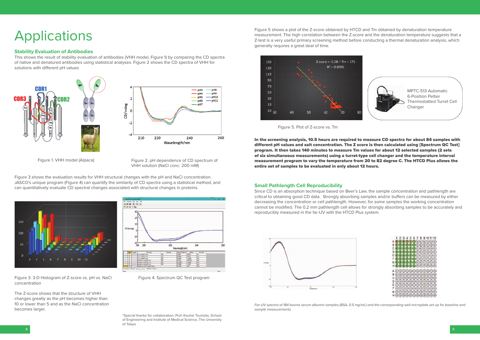### Applications

#### **Small Pathlength Cell Reproducibility**

Since CD is an absorption technique based on Beer's Law, the sample concentration and pathlength are critical to obtaining good CD data. Strongly absorbing samples and/or buffers can be measured by either decreasing the concentration or cell pathlength. However, for some samples the working concentration cannot be modified. The 0.2 mm pathlength cell allows for strongly absorbing samples to be accurately and reproducibly measured in the far-UV with the HTCD Plus system.



Far-UV spectra of 184 bovine serum albumin samples (BSA, 0.5 mg/mL) and the corresponding well microplate set up for baseline and *sample measurements.* 



This shows the result of stability evaluation of antibodies (VHH model, Figure 1) by comparing the CD spectra of native and denatured antibodies using statistical analyses. Figure 2 shows the CD spectra of VHH for solutions with different pH values

Figure 5 shows a plot of the Z-score obtained by HTCD and Tm obtained by denaturation temperature measurement. The high correlation between the Z-score and the denaturation temperature suggests that a Z-test is a very useful primary screening method before conducting a thermal denaturation analysis, which generally requires a great deal of time.



#### **Stability Evaluation of Antibodies**

MPTC-513 Automatic 6-Position Peltier Thermostatted Turret Cell **Changer** 



Figure 3 shows the evaluation results for VHH structural changes with the pH and NaCl concentration. JASCO's unique program (Figure 4) can quantify the similarity of CD spectra using a statistical method, and can quantitatively evaluate CD spectral changes associated with structural changes in proteins.





The Z-score shows that the structure of VHH changes greatly as the pH becomes higher than 10 or lower than 5 and as the NaCl concentration becomes larger.

Figure 2. pH dependence of CD spectrum of VHH solution (NaCl conc. 200 mM)



Figure 4. Spectrum QC Test program

\*Special thanks for collaboration; Prof. Kouhei Tsumoto, School of Engineering and Institute of Medical Science, The University of Tokyo

Figure 1. VHH model (Alpaca)

Figure 5. Plot of Z-score vs. Tm

In the screening analysis, 10.5 hours are required to measure CD spectra for about 84 samples with different pH values and salt concentration. The Z score is then calculated using [Spectrum QC Test] program. It then takes 140 minutes to measure Tm values for about 12 selected samples (2 sets of six simultaneous measurements) using a turret-type cell changer and the temperature interval measurement program to vary the temperature from 20 to 82 degree C. The HTCD Plus allows the entire set of samples to be evaluated in only about 12 hours.

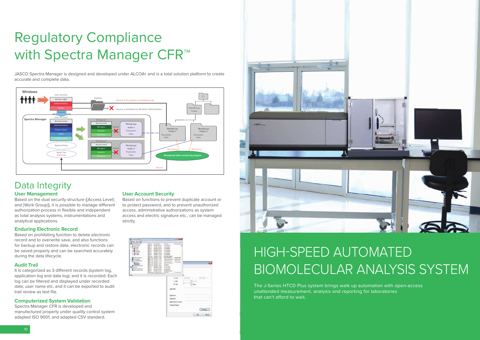## Regulatory Compliance with Spectra Manager CFR<sup>™</sup>

### **User Management**

Based on the dual security structure ([Access Level] and [Work Group]), it is possible to manage different authorization process in flexible and independent as total analysis systems, instrumentations and analytical applications.

JASCO Spectra Manager is designed and developed under ALCOA+ and is a total solution platform to create accurate and complete data.

#### **User Account Security**

Based on functions to prevent duplicate account or to protect password, and to prevent unauthorized access, administrative authorizations as system access and electric signature etc., can be managed strictly.





### **Enduring Electronic Record**

The J-Series HTCD Plus system brings walk up automation with open-access unattended measurement, analysis and reporting for laboratories that can't afford to wait.

Based on prohibiting function to delete electronic record and to overwrite save, and also functions for backup and restore data, electronic records can be saved properly and can be searched accurately during the data lifecycle.

### **Audit Trail**

It is categorized as 3 different records (system log, application log and data log), and it is recorded. Each log can be filtered and displayed under recorded date, user name etc, and it can be exported to audit trail review as text file.

### **Computerized System Validation**

Spectra Manager CFR is developed and manufactured properly under quality control system adapted ISO 9001, and adapted CSV standard.

## HIGH-SPEED AUTOMATED BIOMOLECULAR ANALYSIS SYSTEM



### Data Integrity